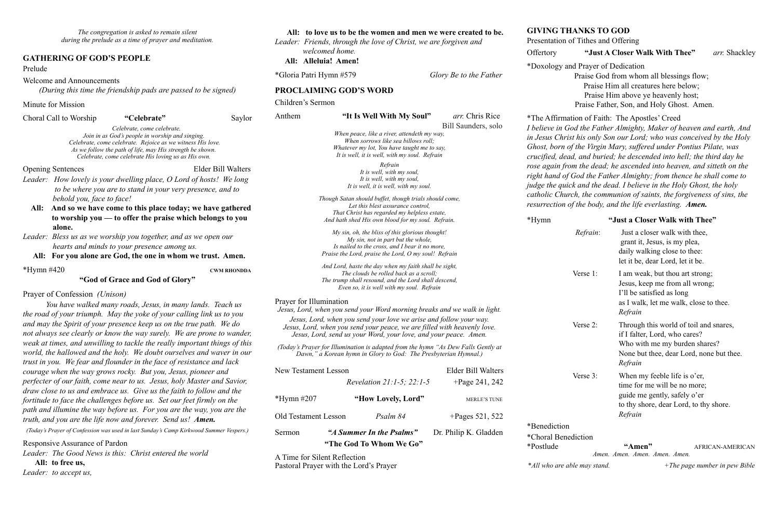*The congregation is asked to remain silent during the prelude as a time of prayer and meditation.*

#### **GATHERING OF GOD'S PEOPLE**

#### Prelude

Welcome and Announcements

*(During this time the friendship pads are passed to be signed)* 

Minute for Mission

Choral Call to Worship **"Celebrate"** Saylor

 *Celebrate, come celebrate. Join in as God's people in worship and singing. Celebrate, come celebrate. Rejoice as we witness His love. As we follow the path of life, may His strength be shown. Celebrate, come celebrate His loving us as His own.* 

Opening Sentences Elder Bill Walters

- *Leader: How lovely is your dwelling place, O Lord of hosts! We long to be where you are to stand in your very presence, and to behold you, face to face!*
- **All: And so we have come to this place today; we have gathered to worship you — to offer the praise which belongs to you alone.**
- *Leader: Bless us as we worship you together, and as we open our hearts and minds to your presence among us.*

**All:****For you alone are God, the one in whom we trust. Amen.**

\*Hymn #420 **CWM RHONDDA**

#### **"God of Grace and God of Glory"**

#### Prayer of Confession *(Unison)*

*You have walked many roads, Jesus, in many lands. Teach us the road of your triumph. May the yoke of your calling link us to you and may the Spirit of your presence keep us on the true path. We do not always see clearly or know the way surely. We are prone to wander, weak at times, and unwilling to tackle the really important things of this world, the hallowed and the holy. We doubt ourselves and waver in our trust in you. We fear and flounder in the face of resistance and lack courage when the way grows rocky. But you, Jesus, pioneer and perfecter of our faith, come near to us. Jesus, holy Master and Savior, draw close to us and embrace us. Give us the faith to follow and the fortitude to face the challenges before us. Set our feet firmly on the path and illumine the way before us. For you are the way, you are the truth, and you are the life now and forever. Send us! Amen.*

*(Today's Prayer of Confession was used in last Sunday's Camp Kirkwood Summer Vespers.)* 

#### Responsive Assurance of Pardon

*Leader: The Good News is this: Christ entered the world* 

**All: to free us,** 

*Leader: to accept us,* 

#### **All: to love us to be the women and men we were created to be.**

*Leader: Friends, through the love of Christ, we are forgiven and welcomed home.* **All: Alleluia! Amen!**

\*Gloria Patri Hymn #579 *Glory Be to the Father* 

#### **PROCLAIMING GOD'S WORD**

Children's Sermon

#### Anthem **"It Is Well With My Soul"** *arr.* Chris Rice

Bill Saunders, solo

*When peace, like a river, attendeth my way, When sorrows like sea billows roll; Whatever my lot, You have taught me to say, It is well, it is well, with my soul. Refrain*

> *Refrain It is well, with my soul, It is well, with my soul, It is well, it is well, with my soul.*

*Though Satan should buffet, though trials should come, Let this blest assurance control, That Christ has regarded my helpless estate, And hath shed His own blood for my soul. Refrain.*

*My sin, oh, the bliss of this glorious thought! My sin, not in part but the whole, Is nailed to the cross, and I bear it no more, Praise the Lord, praise the Lord, O my soul! Refrain*

*And Lord, haste the day when my faith shall be sight, The clouds be rolled back as a scroll; The trump shall resound, and the Lord shall descend, Even so, it is well with my soul. Refrain*

#### Prayer for Illumination

*Jesus, Lord, when you send your Word morning breaks and we walk in light. Jesus, Lord, when you send your love we arise and follow your way. Jesus, Lord, when you send your peace, we are filled with heavenly love. Jesus, Lord, send us your Word, your love, and your peace. Amen.*

*(Today's Prayer for Illumination is adapted from the hymn "As Dew Falls Gently at Dawn," a Korean hymn in Glory to God: The Presbyterian Hymnal.)* 

| New Testament Lesson        |                                                     | Elder Bill Walters    |
|-----------------------------|-----------------------------------------------------|-----------------------|
|                             | <i>Revelation 21:1-5: 22:1-5</i>                    | $+$ Page 241, 242     |
| *Hymn $#207$                | "How Lovely, Lord"                                  | <b>MERLE'S TUNE</b>   |
| <b>Old Testament Lesson</b> | Psalm 84                                            | +Pages 521, 522       |
| Sermon                      | "A Summer In the Psalms"<br>"The God To Whom We Go" | Dr. Philip K. Gladden |

A Time for Silent Reflection Pastoral Prayer with the Lord's Prayer

#### **GIVING THANKS TO GOD**

Presentation of Tithes and Offering

#### Offertory **"Just A Closer Walk With Thee"** *arr.* Shackley

\*Doxology and Prayer of Dedication

Praise God from whom all blessings flow; Praise Him all creatures here below; Praise Him above ye heavenly host; Praise Father, Son, and Holy Ghost. Amen.

\*The Affirmation of Faith: The Apostles' Creed

*I believe in God the Father Almighty, Maker of heaven and earth, And in Jesus Christ his only Son our Lord; who was conceived by the Holy Ghost, born of the Virgin Mary, suffered under Pontius Pilate, was crucified, dead, and buried; he descended into hell; the third day he rose again from the dead; he ascended into heaven, and sitteth on the right hand of God the Father Almighty; from thence he shall come to judge the quick and the dead. I believe in the Holy Ghost, the holy catholic Church, the communion of saints, the forgiveness of sins, the resurrection of the body, and the life everlasting. Amen.*

#### \*Hymn **"Just a Closer Walk with Thee"**

### *Refrain*: Just a closer walk with thee, grant it, Jesus, is my plea, daily walking close to thee: let it be, dear Lord, let it be. Verse 1: I am weak, but thou art strong; Jesus, keep me from all wrong; I'll be satisfied as long as I walk, let me walk, close to thee. *Refrain*  Verse 2: Through this world of toil and snares, if I falter, Lord, who cares? Who with me my burden shares? None but thee, dear Lord, none but thee. *Refrain*  Verse 3: When my feeble life is o'er, time for me will be no more; guide me gently, safely o'er to thy shore, dear Lord, to thy shore.  *Refrain*

\*Benediction \*Choral Benediction

\*Postlude **"Amen"** AFRICAN-AMERICAN *Amen. Amen. Amen. Amen. Amen.*  \**All who are able may stand. +The page number in pew Bible*